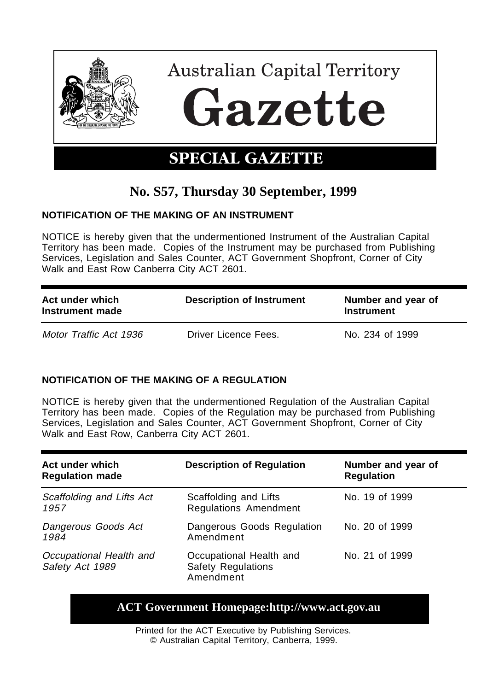

# **No. S57, Thursday 30 September, 1999**

### **NOTIFICATION OF THE MAKING OF AN INSTRUMENT**

NOTICE is hereby given that the undermentioned Instrument of the Australian Capital Territory has been made. Copies of the Instrument may be purchased from Publishing Services, Legislation and Sales Counter, ACT Government Shopfront, Corner of City Walk and East Row Canberra City ACT 2601.

| Act under which<br>Instrument made | <b>Description of Instrument</b> | Number and year of<br>Instrument |
|------------------------------------|----------------------------------|----------------------------------|
| Motor Traffic Act 1936             | Driver Licence Fees.             | No. 234 of 1999                  |

### **NOTIFICATION OF THE MAKING OF A REGULATION**

NOTICE is hereby given that the undermentioned Regulation of the Australian Capital Territory has been made. Copies of the Regulation may be purchased from Publishing Services, Legislation and Sales Counter, ACT Government Shopfront, Corner of City Walk and East Row, Canberra City ACT 2601.

| Act under which<br><b>Regulation made</b>  | <b>Description of Regulation</b>                                  | Number and year of<br><b>Regulation</b> |
|--------------------------------------------|-------------------------------------------------------------------|-----------------------------------------|
| Scaffolding and Lifts Act<br>1957          | Scaffolding and Lifts<br><b>Regulations Amendment</b>             | No. 19 of 1999                          |
| Dangerous Goods Act<br>1984                | Dangerous Goods Regulation<br>Amendment                           | No. 20 of 1999                          |
| Occupational Health and<br>Safety Act 1989 | Occupational Health and<br><b>Safety Regulations</b><br>Amendment | No. 21 of 1999                          |

## **ACT Government Homepage:http://www.act.gov.au**

Printed for the ACT Executive by Publishing Services. © Australian Capital Territory, Canberra, 1999.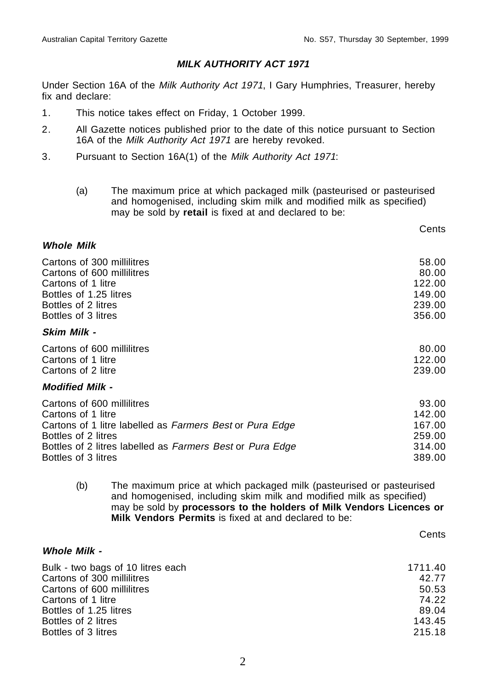#### **MILK AUTHORITY ACT 1971**

Under Section 16A of the Milk Authority Act 1971, I Gary Humphries, Treasurer, hereby fix and declare:

- 1. This notice takes effect on Friday, 1 October 1999.
- 2. All Gazette notices published prior to the date of this notice pursuant to Section 16A of the Milk Authority Act 1971 are hereby revoked.
- 3. Pursuant to Section 16A(1) of the Milk Authority Act 1971:
	- (a) The maximum price at which packaged milk (pasteurised or pasteurised and homogenised, including skim milk and modified milk as specified) may be sold by **retail** is fixed at and declared to be:

|                                                                                                                                                                                                                         | טהוסט                                                   |
|-------------------------------------------------------------------------------------------------------------------------------------------------------------------------------------------------------------------------|---------------------------------------------------------|
| <b>Whole Milk</b>                                                                                                                                                                                                       |                                                         |
| Cartons of 300 millilitres<br>Cartons of 600 millilitres<br>Cartons of 1 litre<br>Bottles of 1.25 litres<br>Bottles of 2 litres<br>Bottles of 3 litres                                                                  | 58.00<br>80.00<br>122.00<br>149.00<br>239.00<br>356.00  |
| Skim Milk -                                                                                                                                                                                                             |                                                         |
| Cartons of 600 millilitres<br>Cartons of 1 litre<br>Cartons of 2 litre                                                                                                                                                  | 80.00<br>122.00<br>239.00                               |
| <b>Modified Milk -</b>                                                                                                                                                                                                  |                                                         |
| Cartons of 600 millilitres<br>Cartons of 1 litre<br>Cartons of 1 litre labelled as Farmers Best or Pura Edge<br>Bottles of 2 litres<br>Bottles of 2 litres labelled as Farmers Best or Pura Edge<br>Bottles of 3 litres | 93.00<br>142.00<br>167.00<br>259.00<br>314.00<br>389.00 |

(b) The maximum price at which packaged milk (pasteurised or pasteurised and homogenised, including skim milk and modified milk as specified) may be sold by **processors to the holders of Milk Vendors Licences or Milk Vendors Permits** is fixed at and declared to be:

**Cents** 

Conte

#### **Whole Milk -**

| Bulk - two bags of 10 litres each | 1711.40 |
|-----------------------------------|---------|
| Cartons of 300 millilitres        | 42.77   |
| Cartons of 600 millilitres        | 50.53   |
| Cartons of 1 litre                | 74.22   |
| Bottles of 1.25 litres            | 89.04   |
| Bottles of 2 litres               | 143.45  |
| Bottles of 3 litres               | 215.18  |
|                                   |         |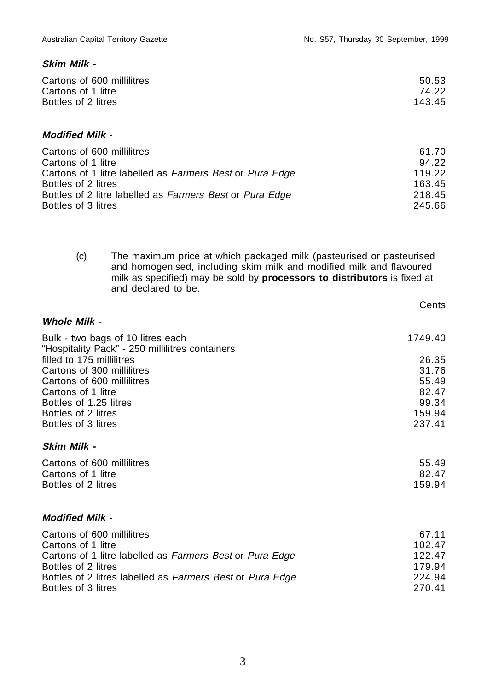#### **Skim Milk -**

| Cartons of 600 millilitres | 50.53  |
|----------------------------|--------|
| Cartons of 1 litre         | 74.22  |
| Bottles of 2 litres        | 143.45 |
|                            |        |

#### **Modified Milk -**

| Cartons of 600 millilitres                               | 61.70  |
|----------------------------------------------------------|--------|
| Cartons of 1 litre                                       | 94.22  |
| Cartons of 1 litre labelled as Farmers Best or Pura Edge | 119.22 |
| Bottles of 2 litres                                      | 163.45 |
| Bottles of 2 litre labelled as Farmers Best or Pura Edge | 218.45 |
| Bottles of 3 litres                                      | 245.66 |

(c) The maximum price at which packaged milk (pasteurised or pasteurised and homogenised, including skim milk and modified milk and flavoured milk as specified) may be sold by **processors to distributors** is fixed at and declared to be:

|                                                                                      | Cents   |
|--------------------------------------------------------------------------------------|---------|
| <b>Whole Milk -</b>                                                                  |         |
| Bulk - two bags of 10 litres each<br>"Hospitality Pack" - 250 millilitres containers | 1749.40 |
| filled to 175 millilitres                                                            | 26.35   |
| Cartons of 300 millilitres                                                           | 31.76   |
| Cartons of 600 millilitres                                                           | 55.49   |
| Cartons of 1 litre                                                                   | 82.47   |
| Bottles of 1.25 litres                                                               | 99.34   |
| Bottles of 2 litres                                                                  | 159.94  |
| Bottles of 3 litres                                                                  | 237.41  |
| Skim Milk -                                                                          |         |
| Cartons of 600 millilitres                                                           | 55.49   |
| Cartons of 1 litre                                                                   | 82.47   |
| Bottles of 2 litres                                                                  | 159.94  |
| <b>Modified Milk -</b>                                                               |         |
| Cartons of 600 millilitres                                                           | 67.11   |
| Cartons of 1 litre                                                                   | 102.47  |
| Cartons of 1 litre labelled as Farmers Best or Pura Edge                             | 122.47  |
| Bottles of 2 litres                                                                  | 179.94  |
| Bottles of 2 litres labelled as Farmers Best or Pura Edge                            | 224.94  |
| Bottles of 3 litres                                                                  | 270.41  |